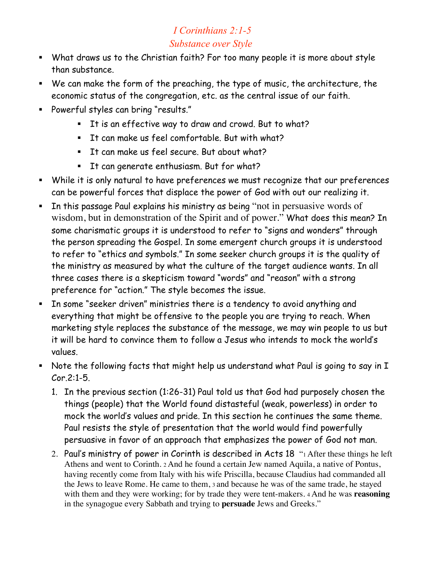## *I Corinthians 2:1-5 Substance over Style*

- What draws us to the Christian faith? For too many people it is more about style than substance.
- We can make the form of the preaching, the type of music, the architecture, the economic status of the congregation, etc. as the central issue of our faith.
- Powerful styles can bring "results."
	- It is an effective way to draw and crowd. But to what?
	- **It can make us feel comfortable. But with what?**
	- **It can make us feel secure. But about what?**
	- **It can generate enthusiasm. But for what?**
- While it is only natural to have preferences we must recognize that our preferences can be powerful forces that displace the power of God with out our realizing it.
- **In this passage Paul explains his ministry as being "not in persuasive words of** wisdom, but in demonstration of the Spirit and of power." What does this mean? In some charismatic groups it is understood to refer to "signs and wonders" through the person spreading the Gospel. In some emergent church groups it is understood to refer to "ethics and symbols." In some seeker church groups it is the quality of the ministry as measured by what the culture of the target audience wants. In all three cases there is a skepticism toward "words" and "reason" with a strong preference for "action." The style becomes the issue.
- In some "seeker driven" ministries there is a tendency to avoid anything and everything that might be offensive to the people you are trying to reach. When marketing style replaces the substance of the message, we may win people to us but it will be hard to convince them to follow a Jesus who intends to mock the world's values.
- Note the following facts that might help us understand what Paul is going to say in I Cor.2:1-5.
	- 1. In the previous section (1:26-31) Paul told us that God had purposely chosen the things (people) that the World found distasteful (weak, powerless) in order to mock the world's values and pride. In this section he continues the same theme. Paul resists the style of presentation that the world would find powerfully persuasive in favor of an approach that emphasizes the power of God not man.
	- 2. Paul's ministry of power in Corinth is described in Acts 18 "1 After these things he left Athens and went to Corinth. 2 And he found a certain Jew named Aquila, a native of Pontus, having recently come from Italy with his wife Priscilla, because Claudius had commanded all the Jews to leave Rome. He came to them, 3 and because he was of the same trade, he stayed with them and they were working; for by trade they were tent-makers. 4 And he was **reasoning** in the synagogue every Sabbath and trying to **persuade** Jews and Greeks."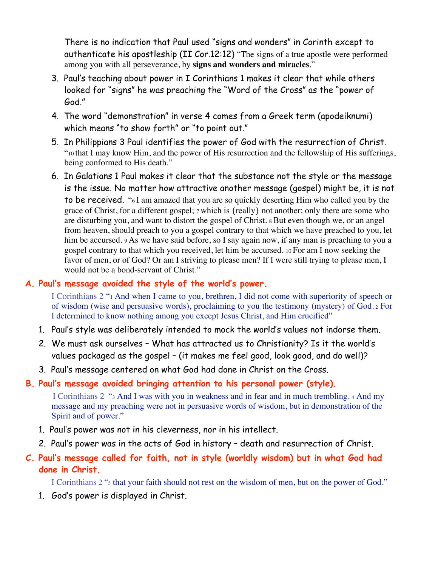There is no indication that Paul used "signs and wonders" in Corinth except to authenticate his apostleship (II Cor.12:12) "The signs of a true apostle were performed among you with all perseverance, by **signs and wonders and miracles**."

- 3. Paul's teaching about power in I Corinthians 1 makes it clear that while others looked for "signs" he was preaching the "Word of the Cross" as the "power of God."
- 4. The word "demonstration" in verse 4 comes from a Greek term (apodeiknumi) which means "to show forth" or "to point out."
- 5. In Philippians 3 Paul identifies the power of God with the resurrection of Christ. "10 that I may know Him, and the power of His resurrection and the fellowship of His sufferings, being conformed to His death."
- 6. In Galatians 1 Paul makes it clear that the substance not the style or the message is the issue. No matter how attractive another message (gospel) might be, it is not to be received. "6 I am amazed that you are so quickly deserting Him who called you by the grace of Christ, for a different gospel; 7 which is {really} not another; only there are some who are disturbing you, and want to distort the gospel of Christ. 8 But even though we, or an angel from heaven, should preach to you a gospel contrary to that which we have preached to you, let him be accursed. 9 As we have said before, so I say again now, if any man is preaching to you a gospel contrary to that which you received, let him be accursed. 10 For am I now seeking the favor of men, or of God? Or am I striving to please men? If I were still trying to please men, I would not be a bond-servant of Christ."

## **A. Paul's message avoided the style of the world's power.**

I Corinthians 2 "1 And when I came to you, brethren, I did not come with superiority of speech or of wisdom (wise and persuasive words), proclaiming to you the testimony (mystery) of God. 2 For I determined to know nothing among you except Jesus Christ, and Him crucified"

- 1. Paul's style was deliberately intended to mock the world's values not indorse them.
- 2. We must ask ourselves What has attracted us to Christianity? Is it the world's values packaged as the gospel – (it makes me feel good, look good, and do well)?
- 3. Paul's message centered on what God had done in Christ on the Cross.

## **B. Paul's message avoided bringing attention to his personal power (style).**

I Corinthians 2 "3 And I was with you in weakness and in fear and in much trembling. 4 And my message and my preaching were not in persuasive words of wisdom, but in demonstration of the Spirit and of power."

- 1. Paul's power was not in his cleverness, nor in his intellect.
- 2. Paul's power was in the acts of God in history death and resurrection of Christ.

## **C. Paul's message called for faith, not in style (worldly wisdom) but in what God had done in Christ.**

I Corinthians 2 "5 that your faith should not rest on the wisdom of men, but on the power of God."

1. God's power is displayed in Christ.